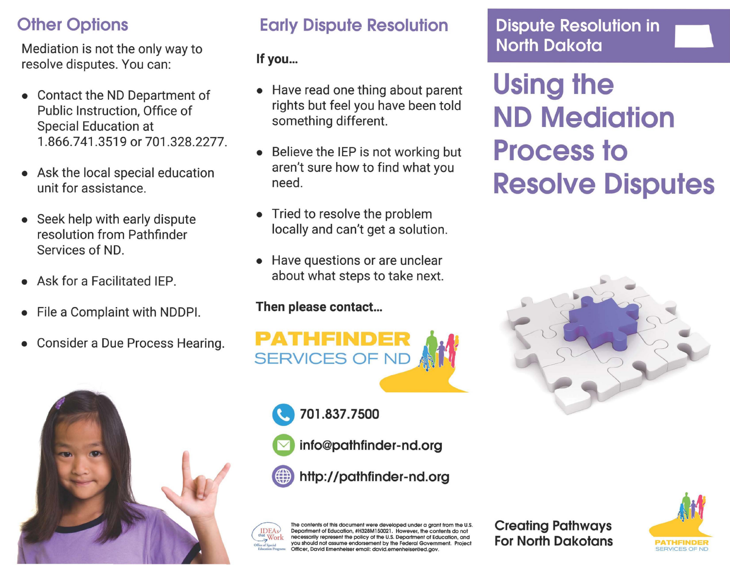## **Other Options**

Mediation is not the only way to resolve disputes. You can:

- Contact the ND Department of Public Instruction, Office of Special Education at 1.866.741.3519 or 701.328.2277.
- Ask the local special education unit for assistance.
- Seek help with early dispute resolution from Pathfmder Services of ND.
- Ask for a Facilitated IEP.
- File a Complaint with NDDPI.
- Consider a Due Process Hearing.



### Early Dispute Resolution

### If you...

- Have read one thing about parent rights but feel you have been told something different.
- Believe the IEP is not working but aren't sure how to find what you need.
- Tried to resolve the problem locally and can't get a solution.
- Have questions or are unclear about what steps to take next.

### Then please contact...



- " 701.837.7500
	- a info@pathfinder-nd.org
- http://pathfinder-nd.org



The contents of this document were developed under a grant from the U.S. Department of Education, #H328M150021. However, the contents do not necessarily represent the policy of the U.S. Department of Education, and you should not assume endorsement by the Federal Government. Project ficer, David Emenheiser email: david.emenheiser@ed.gov.

Creating Pathways For North Dakotans **PATHFINDER** 



## Dispute Resolution in \_ North Dakota

Using the ND Mediation Process to Resolve Disputes